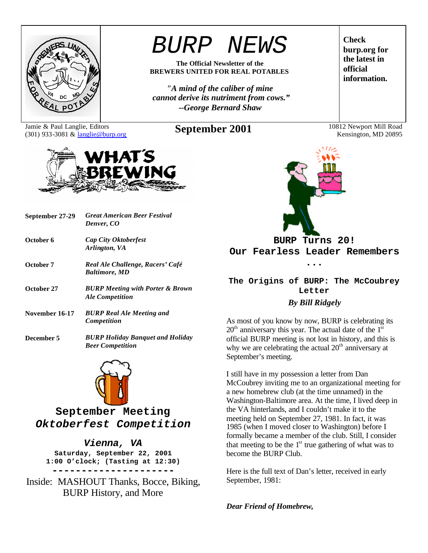

# *BURP NEWS*

**The Official Newsletter of the BREWERS UNITED FOR REAL POTABLES**

*"A mind of the caliber of mine cannot derive its nutriment from cows." --George Bernard Shaw*

Jamie & Paul Langlie, Editors (301) 933-3081 & langlie@burp.org **September 2001** 10812 Newport Mill Road



| September 27-29 | <b>Great American Beer Festival</b><br>Denver, CO                     |
|-----------------|-----------------------------------------------------------------------|
| October 6       | <b>Cap City Oktoberfest</b><br>Arlington, VA                          |
| October 7       | Real Ale Challenge, Racers' Café<br><b>Baltimore, MD</b>              |
| October 27      | <b>BURP Meeting with Porter &amp; Brown</b><br><b>Ale Competition</b> |
| November 16-17  | <b>BURP Real Ale Meeting and</b><br>Competition                       |
| December 5      | <b>BURP Holiday Banquet and Holiday</b><br><b>Beer Competition</b>    |



**September Meeting** *Oktoberfest Competition*

### *Vienna, VA*

**Saturday, September 22, 2001 1:00 O'clock; (Tasting at 12:30) ---------------------**

Inside: MASHOUT Thanks, Bocce, Biking, BURP History, and More

**burp.org for the latest in official information.**

**Check** 

Kensington, MD 20895



**BURP Turns 20! Our Fearless Leader Remembers** 

**...**

### **The Origins of BURP: The McCoubrey Letter** *By Bill Ridgely*

As most of you know by now, BURP is celebrating its  $20<sup>th</sup>$  anniversary this year. The actual date of the  $1<sup>st</sup>$ official BURP meeting is not lost in history, and this is why we are celebrating the actual  $20<sup>th</sup>$  anniversary at September's meeting.

I still have in my possession a letter from Dan McCoubrey inviting me to an organizational meeting for a new homebrew club (at the time unnamed) in the Washington-Baltimore area. At the time, I lived deep in the VA hinterlands, and I couldn't make it to the meeting held on September 27, 1981. In fact, it was 1985 (when I moved closer to Washington) before I formally became a member of the club. Still, I consider that meeting to be the  $1<sup>st</sup>$  true gathering of what was to become the BURP Club.

Here is the full text of Dan's letter, received in early September, 1981:

*Dear Friend of Homebrew,*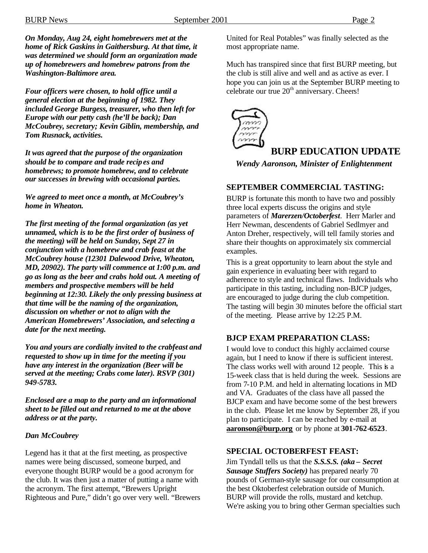*On Monday, Aug 24, eight homebrewers met at the home of Rick Gaskins in Gaithersburg. At that time, it was determined we should form an organization made up of homebrewers and homebrew patrons from the Washington-Baltimore area.*

*Four officers were chosen, to hold office until a general election at the beginning of 1982. They included George Burgess, treasurer, who then left for Europe with our petty cash (he'll be back); Dan McCoubrey, secretary; Kevin Giblin, membership, and Tom Rusnack, activities.*

*It was agreed that the purpose of the organization should be to compare and trade recipes and homebrews; to promote homebrew, and to celebrate our successes in brewing with occasional parties.*

*We agreed to meet once a month, at McCoubrey's home in Wheaton.*

*The first meeting of the formal organization (as yet unnamed, which is to be the first order of business of the meeting) will be held on Sunday, Sept 27 in conjunction with a homebrew and crab feast at the McCoubrey house (12301 Dalewood Drive, Wheaton, MD, 20902). The party will commence at 1:00 p.m. and go as long as the beer and crabs hold out. A meeting of members and prospective members will be held beginning at 12:30. Likely the only pressing business at that time will be the naming of the organization, discussion on whether or not to align with the American Homebrewers' Association, and selecting a date for the next meeting.*

*You and yours are cordially invited to the crabfeast and requested to show up in time for the meeting if you have any interest in the organization (Beer will be served at the meeting; Crabs come later). RSVP (301) 949-5783.*

*Enclosed are a map to the party and an informational sheet to be filled out and returned to me at the above address or at the party.*

#### *Dan McCoubrey*

Legend has it that at the first meeting, as prospective names were being discussed, someone burped, and everyone thought BURP would be a good acronym for the club. It was then just a matter of putting a name with the acronym. The first attempt, "Brewers Upright Righteous and Pure," didn't go over very well. "Brewers United for Real Potables" was finally selected as the most appropriate name.

Much has transpired since that first BURP meeting, but the club is still alive and well and as active as ever. I hope you can join us at the September BURP meeting to celebrate our true 20<sup>th</sup> anniversary. Cheers!



# **BURP EDUCATION UPDATE**

*Wendy Aaronson, Minister of Enlightenment*

#### **SEPTEMBER COMMERCIAL TASTING:**

BURP is fortunate this month to have two and possibly three local experts discuss the origins and style parameters of *Marerzen/Octoberfest*. Herr Marler and Herr Newman, descendents of Gabriel Sedlmyer and Anton Dreher, respectively, will tell family stories and share their thoughts on approximately six commercial examples.

This is a great opportunity to learn about the style and gain experience in evaluating beer with regard to adherence to style and technical flaws. Individuals who participate in this tasting, including non-BJCP judges, are encouraged to judge during the club competition. The tasting will begin 30 minutes before the official start of the meeting. Please arrive by 12:25 P.M.

#### **BJCP EXAM PREPARATION CLASS:**

I would love to conduct this highly acclaimed course again, but I need to know if there is sufficient interest. The class works well with around 12 people. This is a 15-week class that is held during the week. Sessions are from 7-10 P.M. and held in alternating locations in MD and VA. Graduates of the class have all passed the BJCP exam and have become some of the best brewers in the club. Please let me know by September 28, if you plan to participate. I can be reached by e-mail at **aaronson@burp.org** or by phone at **301-762-6523**.

#### **SPECIAL OCTOBERFEST FEAST:**

Jim Tyndall tells us that the *S.S.S.S. (aka – Secret Sausage Stuffers Society)* has prepared nearly 70 pounds of German-style sausage for our consumption at the best Oktoberfest celebration outside of Munich. BURP will provide the rolls, mustard and ketchup. We're asking you to bring other German specialties such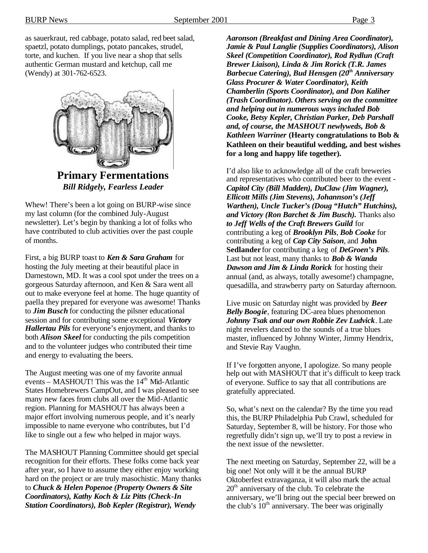as sauerkraut, red cabbage, potato salad, red beet salad, spaetzl, potato dumplings, potato pancakes, strudel, torte, and kuchen. If you live near a shop that sells

authentic German mustard and ketchup, call me (Wendy) at 301-762-6523.



*Bill Ridgely, Fearless Leader*

Whew! There's been a lot going on BURP-wise since my last column (for the combined July-August newsletter). Let's begin by thanking a lot of folks who have contributed to club activities over the past couple of months.

First, a big BURP toast to *Ken & Sara Graham* for hosting the July meeting at their beautiful place in Darnestown, MD. It was a cool spot under the trees on a gorgeous Saturday afternoon, and Ken & Sara went all out to make everyone feel at home. The huge quantity of paella they prepared for everyone was awesome! Thanks to *Jim Busch* for conducting the pilsner educational session and for contributing some exceptional *Victory Hallertau Pils* for everyone's enjoyment, and thanks to both *Alison Skeel* for conducting the pils competition and to the volunteer judges who contributed their time and energy to evaluating the beers.

The August meeting was one of my favorite annual events – MASHOUT! This was the  $14<sup>th</sup>$  Mid-Atlantic States Homebrewers CampOut, and I was pleased to see many new faces from clubs all over the Mid-Atlantic region. Planning for MASHOUT has always been a major effort involving numerous people, and it's nearly impossible to name everyone who contributes, but I'd like to single out a few who helped in major ways.

The MASHOUT Planning Committee should get special recognition for their efforts. These folks come back year after year, so I have to assume they either enjoy working hard on the project or are truly masochistic. Many thanks to *Chuck & Helen Popenoe (Property Owners & Site Coordinators), Kathy Koch & Liz Pitts (Check-In Station Coordinators), Bob Kepler (Registrar), Wendy* 

*Aaronson (Breakfast and Dining Area Coordinator), Jamie & Paul Langlie (Supplies Coordinators), Alison Skeel (Competition Coordinator), Rod Rydlun (Craft Brewer Liaison), Linda & Jim Rorick (T.R. James Barbecue Catering), Bud Hensgen (20th Anniversary Glass Procurer & Water Coordinator), Keith Chamberlin (Sports Coordinator), and Don Kaliher (Trash Coordinator). Others serving on the committee and helping out in numerous ways included Bob Cooke, Betsy Kepler, Christian Parker, Deb Parshall and, of course, the MASHOUT newlyweds, Bob & Kathleen Warriner* **(Hearty congratulations to Bob & Kathleen on their beautiful wedding, and best wishes for a long and happy life together).**

I'd also like to acknowledge all of the craft breweries and representatives who contributed beer to the event - *Capitol City (Bill Madden), DuClaw (Jim Wagner), Ellicott Mills (Jim Stevens), Johannson's (Jeff Warthen), Uncle Tucker's (Doug "Hutch" Hutchins), and Victory (Ron Barchet & Jim Busch).* Thanks also *to Jeff Wells of the Craft Brewers Guild* for contributing a keg of *Brooklyn Pils*, *Bob Cooke* for contributing a keg of *Cap City Saison*, and **John Sedlander** for contributing a keg of *DeGroen's Pils*. Last but not least, many thanks to *Bob & Wanda Dawson and Jim & Linda Rorick* for hosting their annual (and, as always, totally awesome!) champagne, quesadilla, and strawberry party on Saturday afternoon.

Live music on Saturday night was provided by *Beer Belly Boogie*, featuring DC-area blues phenomenon *Johnny Tsak and our own Robbie Zev Ludvick*. Late night revelers danced to the sounds of a true blues master, influenced by Johnny Winter, Jimmy Hendrix, and Stevie Ray Vaughn.

If I've forgotten anyone, I apologize. So many people help out with MASHOUT that it's difficult to keep track of everyone. Suffice to say that all contributions are gratefully appreciated.

So, what's next on the calendar? By the time you read this, the BURP Philadelphia Pub Crawl, scheduled for Saturday, September 8, will be history. For those who regretfully didn't sign up, we'll try to post a review in the next issue of the newsletter.

The next meeting on Saturday, September 22, will be a big one! Not only will it be the annual BURP Oktoberfest extravaganza, it will also mark the actual  $20<sup>th</sup>$  anniversary of the club. To celebrate the anniversary, we'll bring out the special beer brewed on the club's  $10<sup>th</sup>$  anniversary. The beer was originally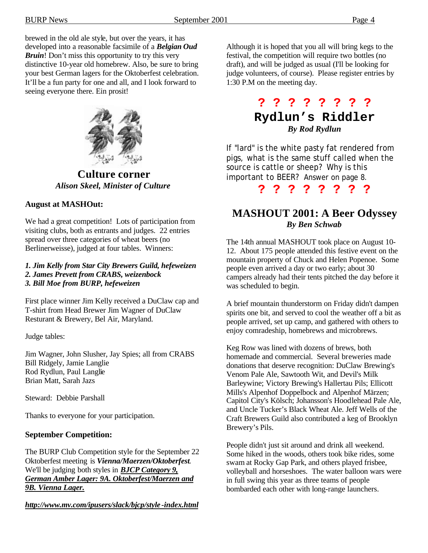brewed in the old ale style, but over the years, it has developed into a reasonable facsimile of a *Belgian Oud Bruin*! Don't miss this opportunity to try this very distinctive 10-year old homebrew. Also, be sure to bring your best German lagers for the Oktoberfest celebration. It'll be a fun party for one and all, and I look forward to seeing everyone there. Ein prosit!



**Culture corner** *Alison Skeel, Minister of Culture*

### **August at MASHOut:**

We had a great competition! Lots of participation from visiting clubs, both as entrants and judges. 22 entries spread over three categories of wheat beers (no Berlinerweisse), judged at four tables. Winners:

#### *1. Jim Kelly from Star City Brewers Guild, hefeweizen 2. James Prevett from CRABS, weizenbock 3. Bill Moe from BURP, hefeweizen*

First place winner Jim Kelly received a DuClaw cap and T-shirt from Head Brewer Jim Wagner of DuClaw Resturant & Brewery, Bel Air, Maryland.

Judge tables:

Jim Wagner, John Slusher, Jay Spies; all from CRABS Bill Ridgely, Jamie Langlie Rod Rydlun, Paul Langlie Brian Matt, Sarah Jazs

Steward: Debbie Parshall

Thanks to everyone for your participation.

#### **September Competition:**

The BURP Club Competition style for the September 22 Oktoberfest meeting is *Vienna/Maerzen/Oktoberfest*. We'll be judging both styles in *BJCP Category 9, German Amber Lager: 9A. Oktoberfest/Maerzen and 9B. Vienna Lager.*

*http://www.mv.com/ipusers/slack/bjcp/style -index.html*

Although it is hoped that you all will bring kegs to the festival, the competition will require two bottles (no draft), and will be judged as usual (I'll be looking for judge volunteers, of course). Please register entries by 1:30 P.M on the meeting day.

# **? ? ? ? ? ? ? ? Rydlun's Riddler** *By Rod Rydlun*

If "lard" is the white pasty fat rendered from pigs, what is the same stuff called when the source is cattle or sheep? Why is this important to BEER? Answer on page 8.

**? ? ? ? ? ? ? ?**

## **MASHOUT 2001: A Beer Odyssey** *By Ben Schwab*

The 14th annual MASHOUT took place on August 10- 12. About 175 people attended this festive event on the mountain property of Chuck and Helen Popenoe. Some people even arrived a day or two early; about 30 campers already had their tents pitched the day before it was scheduled to begin.

A brief mountain thunderstorm on Friday didn't dampen spirits one bit, and served to cool the weather off a bit as people arrived, set up camp, and gathered with others to enjoy comradeship, homebrews and microbrews.

Keg Row was lined with dozens of brews, both homemade and commercial. Several breweries made donations that deserve recognition: DuClaw Brewing's Venom Pale Ale, Sawtooth Wit, and Devil's Milk Barleywine; Victory Brewing's Hallertau Pils; Ellicott Mills's Alpenhof Doppelbock and Alpenhof Märzen; Capitol City's Kölsch; Johansson's Hoodlehead Pale Ale, and Uncle Tucker's Black Wheat Ale. Jeff Wells of the Craft Brewers Guild also contributed a keg of Brooklyn Brewery's Pils.

People didn't just sit around and drink all weekend. Some hiked in the woods, others took bike rides, some swam at Rocky Gap Park, and others played frisbee, volleyball and horseshoes. The water balloon wars were in full swing this year as three teams of people bombarded each other with long-range launchers.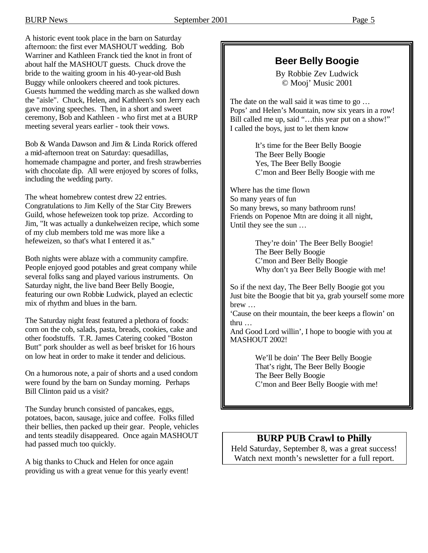A historic event took place in the barn on Saturday afternoon: the first ever MASHOUT wedding. Bob Warriner and Kathleen Franck tied the knot in front of about half the MASHOUT guests. Chuck drove the bride to the waiting groom in his 40-year-old Bush Buggy while onlookers cheered and took pictures. Guests hummed the wedding march as she walked down the "aisle". Chuck, Helen, and Kathleen's son Jerry each gave moving speeches. Then, in a short and sweet ceremony, Bob and Kathleen - who first met at a BURP meeting several years earlier - took their vows.

Bob & Wanda Dawson and Jim & Linda Rorick offered a mid-afternoon treat on Saturday: quesadillas, homemade champagne and porter, and fresh strawberries with chocolate dip. All were enjoyed by scores of folks, including the wedding party.

The wheat homebrew contest drew 22 entries. Congratulations to Jim Kelly of the Star City Brewers Guild, whose hefeweizen took top prize. According to Jim, "It was actually a dunkelweizen recipe, which some of my club members told me was more like a hefeweizen, so that's what I entered it as."

Both nights were ablaze with a community campfire. People enjoyed good potables and great company while several folks sang and played various instruments. On Saturday night, the live band Beer Belly Boogie, featuring our own Robbie Ludwick, played an eclectic mix of rhythm and blues in the barn.

The Saturday night feast featured a plethora of foods: corn on the cob, salads, pasta, breads, cookies, cake and other foodstuffs. T.R. James Catering cooked "Boston Butt" pork shoulder as well as beef brisket for 16 hours on low heat in order to make it tender and delicious.

On a humorous note, a pair of shorts and a used condom were found by the barn on Sunday morning. Perhaps Bill Clinton paid us a visit?

The Sunday brunch consisted of pancakes, eggs, potatoes, bacon, sausage, juice and coffee. Folks filled their bellies, then packed up their gear. People, vehicles and tents steadily disappeared. Once again MASHOUT had passed much too quickly.

A big thanks to Chuck and Helen for once again providing us with a great venue for this yearly event!

# **Beer Belly Boogie**

By Robbie Zev Ludwick © Mooj' Music 2001

The date on the wall said it was time to go … Pops' and Helen's Mountain, now six years in a row! Bill called me up, said "...this year put on a show!" I called the boys, just to let them know

> It's time for the Beer Belly Boogie The Beer Belly Boogie Yes, The Beer Belly Boogie C'mon and Beer Belly Boogie with me

Where has the time flown So many years of fun So many brews, so many bathroom runs! Friends on Popenoe Mtn are doing it all night, Until they see the sun …

> They're doin' The Beer Belly Boogie! The Beer Belly Boogie C'mon and Beer Belly Boogie Why don't ya Beer Belly Boogie with me!

So if the next day, The Beer Belly Boogie got you Just bite the Boogie that bit ya, grab yourself some more brew …

'Cause on their mountain, the beer keeps a flowin' on thru …

And Good Lord willin', I hope to boogie with you at MASHOUT 2002!

> We'll be doin' The Beer Belly Boogie That's right, The Beer Belly Boogie The Beer Belly Boogie C'mon and Beer Belly Boogie with me!

## **BURP PUB Crawl to Philly**

Held Saturday, September 8, was a great success! Watch next month's newsletter for a full report.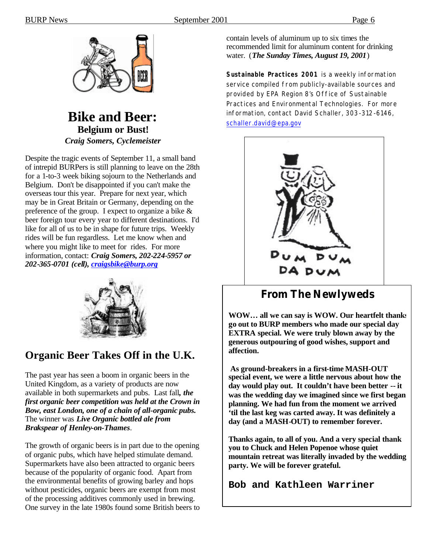

# **Bike and Beer: Belgium or Bust!** *Craig Somers, Cyclemeister*

Despite the tragic events of September 11, a small band of intrepid BURPers is still planning to leave on the 28th for a 1-to-3 week biking sojourn to the Netherlands and Belgium. Don't be disappointed if you can't make the overseas tour this year. Prepare for next year, which may be in Great Britain or Germany, depending on the preference of the group. I expect to organize a bike & beer foreign tour every year to different destinations. I'd like for all of us to be in shape for future trips. Weekly rides will be fun regardless. Let me know when and where you might like to meet for rides. For more information, contact: *Craig Somers, 202-224-5957 or 202-365-0701 (cell), craigsbike@burp.org*



# **Organic Beer Takes Off in the U.K.**

The past year has seen a boom in organic beers in the United Kingdom, as a variety of products are now available in both supermarkets and pubs. Last fall*, the first organic beer competition was held at the Crown in Bow, east London, one of a chain of all-organic pubs.* The winner was *Live Organic bottled ale from Brakspear of Henley-on-Thames*.

The growth of organic beers is in part due to the opening of organic pubs, which have helped stimulate demand. Supermarkets have also been attracted to organic beers because of the popularity of organic food. Apart from the environmental benefits of growing barley and hops without pesticides, organic beers are exempt from most of the processing additives commonly used in brewing. One survey in the late 1980s found some British beers to contain levels of aluminum up to six times the recommended limit for aluminum content for drinking water. (*The Sunday Times, August 19, 2001*)

*Sustainable Practices 2001 is a weekly information service compiled from publicly-available sources and provided by EPA Region 8's Office of Sustainable Practices and Environmental Technologies. For more information, contact David Schaller, 303-312-6146, schaller.david@epa.gov*



# **From The Newlyweds**

**WOW… all we can say is WOW. Our heartfelt thanks go out to BURP members who made our special day EXTRA special. We were truly blown away by the generous outpouring of good wishes, support and affection.**

 **As ground-breakers in a first-time MASH-OUT special event, we were a little nervous about how the day would play out. It couldn't have been better -- it was the wedding day we imagined since we first began planning. We had fun from the moment we arrived 'til the last keg was carted away. It was definitely a day (and a MASH-OUT) to remember forever.**

**Thanks again, to all of you. And a very special thank you to Chuck and Helen Popenoe whose quiet mountain retreat was literally invaded by the wedding party. We will be forever grateful.**

**Bob and Kathleen Warriner**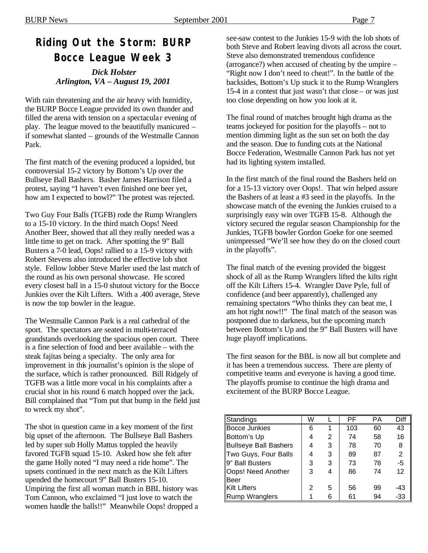# **Riding Out the Storm: BURP Bocce League Week 3**

 *Dick Holster Arlington, VA – August 19, 2001*

With rain threatening and the air heavy with humidity, the BURP Bocce League provided its own thunder and filled the arena with tension on a spectacula r evening of play. The league moved to the beautifully manicured – if somewhat slanted – grounds of the Westmalle Cannon Park.

The first match of the evening produced a lopsided, but controversial 15-2 victory by Bottom's Up over the Bullseye Ball Bashers. Basher James Harrison filed a protest, saying "I haven't even finished one beer yet, how am I expected to bowl?" The protest was rejected.

Two Guy Four Balls (TGFB) rode the Rump Wranglers to a 15-10 victory. In the third match Oops! Need Another Beer, showed that all they really needed was a little time to get on track. After spotting the 9" Ball Busters a 7-0 lead, Oops! rallied to a 15-9 victory with Robert Stevens also introduced the effective lob shot style. Fellow lobber Steve Marler used the last match of the round as his own personal showcase. He scored every closest ball in a 15-0 shutout victory for the Bocce Junkies over the Kilt Lifters. With a .400 average, Steve is now the top bowler in the league.

The Westmalle Cannon Park is a real cathedral of the sport. The spectators are seated in multi-terraced grandstands overlooking the spacious open court. There is a fine selection of food and beer available – with the steak fajitas being a specialty. The only area for improvement in this journalist's opinion is the slope of the surface, which is rather pronounced. Bill Ridgely of TGFB was a little more vocal in his complaints after a crucial shot in his round 6 match hopped over the jack. Bill complained that "Tom put that bump in the field just to wreck my shot".

The shot in question came in a key moment of the first big upset of the afternoon. The Bullseye Ball Bashers led by super sub Holly Mattus toppled the heavily favored TGFB squad 15-10. Asked how she felt after the game Holly noted "I may need a ride home". The upsets continued in the next match as the Kilt Lifters upended the homecourt 9" Ball Busters 15-10. Umpiring the first all woman match in BBL history was Tom Cannon, who exclaimed "I just love to watch the women handle the balls!!" Meanwhile Oops! dropped a see-saw contest to the Junkies 15-9 with the lob shots of both Steve and Robert leaving divots all across the court. Steve also demonstrated tremendous confidence (arrogance?) when accused of cheating by the umpire – "Right now I don't need to cheat!". In the battle of the backsides, Bottom's Up stuck it to the Rump Wranglers 15-4 in a contest that just wasn't that close – or was just too close depending on how you look at it.

The final round of matches brought high drama as the teams jockeyed for position for the playoffs – not to mention dimming light as the sun set on both the day and the season. Due to funding cuts at the National Bocce Federation, Westmalle Cannon Park has not yet had its lighting system installed.

In the first match of the final round the Bashers held on for a 15-13 victory over Oops!. That win helped assure the Bashers of at least a #3 seed in the playoffs. In the showcase match of the evening the Junkies cruised to a surprisingly easy win over TGFB 15-8. Although the victory secured the regular season Championship for the Junkies, TGFB bowler Gordon Goeke for one seemed unimpressed "We'll see how they do on the closed court in the playoffs".

The final match of the evening provided the biggest shock of all as the Rump Wranglers lifted the kilts right off the Kilt Lifters 15-4. Wrangler Dave Pyle, full of confidence (and beer apparently), challenged any remaining spectators "Who thinks they can beat me, I am hot right now!!" The final match of the season was postponed due to darkness, but the upcoming match between Bottom's Up and the 9" Ball Busters will have huge playoff implications.

The first season for the BBL is now all but complete and it has been a tremendous success. There are plenty of competitive teams and everyone is having a good time. The playoffs promise to continue the high drama and excitement of the BURP Bocce League.

| Standings             | W |   | РF  | РA | Diff |
|-----------------------|---|---|-----|----|------|
| <b>Bocce Junkies</b>  | 6 | 1 | 103 | 60 | 43   |
| Bottom's Up           | 4 | 2 | 74  | 58 | 16   |
| Bullseye Ball Bashers |   | 3 | 78  | 70 | 8    |
| Two Guys, Four Balls  |   | 3 | 89  | 87 | 2    |
| 9" Ball Busters       | 3 | 3 | 73  | 78 | -5   |
| Oops! Need Another    | 3 | 4 | 86  | 74 | 12   |
| <b>Beer</b>           |   |   |     |    |      |
| Kilt Lifters          | 2 | 5 | 56  | 99 | -43  |
| Rump Wranglers        |   | 6 | 61  | 94 | -33  |